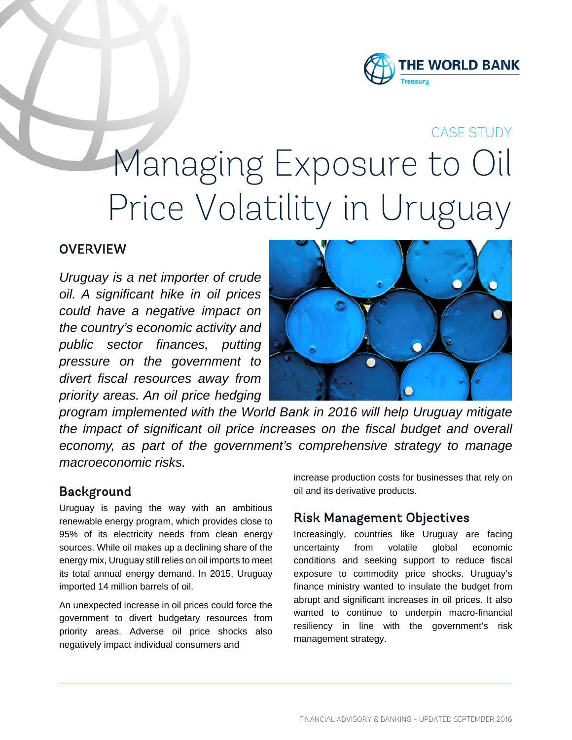

# CASE STUDY Managing Exposure to Oil Price Volatility in Uruguay

# **OVERVIEW**

*Uruguay is a net importer of crude oil. A significant hike in oil prices could have a negative impact on the country's economic activity and public sector finances, putting pressure on the government to divert fiscal resources away from priority areas. An oil price hedging* 



*program implemented with the World Bank in 2016 will help Uruguay mitigate the impact of significant oil price increases on the fiscal budget and overall economy, as part of the government's comprehensive strategy to manage macroeconomic risks.*

#### Background

Uruguay is paving the way with an ambitious renewable energy program, which provides close to 95% of its electricity needs from clean energy sources. While oil makes up a declining share of the energy mix, Uruguay still relies on oil imports to meet its total annual energy demand. In 2015, Uruguay imported 14 million barrels of oil.

An unexpected increase in oil prices could force the government to divert budgetary resources from priority areas. Adverse oil price shocks also negatively impact individual consumers and

increase production costs for businesses that rely on oil and its derivative products.

### Risk Management Objectives

Increasingly, countries like Uruguay are facing uncertainty from volatile global economic conditions and seeking support to reduce fiscal exposure to commodity price shocks. Uruguay's finance ministry wanted to insulate the budget from abrupt and significant increases in oil prices. It also wanted to continue to underpin macro-financial resiliency in line with the government's risk management strategy.